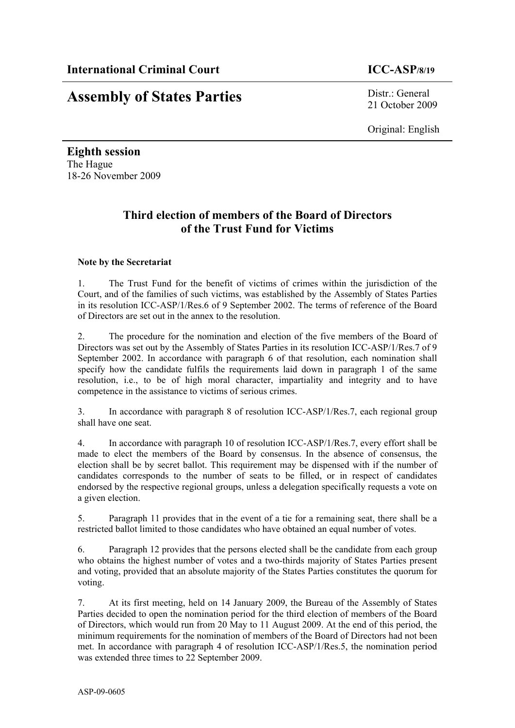# **Assembly of States Parties** Distr.: General

21 October 2009

Original: English

**Eighth session**  The Hague 18-26 November 2009

# **Third election of members of the Board of Directors of the Trust Fund for Victims**

# **Note by the Secretariat**

1. The Trust Fund for the benefit of victims of crimes within the jurisdiction of the Court, and of the families of such victims, was established by the Assembly of States Parties in its resolution ICC-ASP/1/Res.6 of 9 September 2002. The terms of reference of the Board of Directors are set out in the annex to the resolution.

2. The procedure for the nomination and election of the five members of the Board of Directors was set out by the Assembly of States Parties in its resolution ICC-ASP/1/Res.7 of 9 September 2002. In accordance with paragraph 6 of that resolution, each nomination shall specify how the candidate fulfils the requirements laid down in paragraph 1 of the same resolution, i.e., to be of high moral character, impartiality and integrity and to have competence in the assistance to victims of serious crimes.

3. In accordance with paragraph 8 of resolution ICC-ASP/1/Res.7, each regional group shall have one seat.

4. In accordance with paragraph 10 of resolution ICC-ASP/1/Res.7, every effort shall be made to elect the members of the Board by consensus. In the absence of consensus, the election shall be by secret ballot. This requirement may be dispensed with if the number of candidates corresponds to the number of seats to be filled, or in respect of candidates endorsed by the respective regional groups, unless a delegation specifically requests a vote on a given election.

5. Paragraph 11 provides that in the event of a tie for a remaining seat, there shall be a restricted ballot limited to those candidates who have obtained an equal number of votes.

6. Paragraph 12 provides that the persons elected shall be the candidate from each group who obtains the highest number of votes and a two-thirds majority of States Parties present and voting, provided that an absolute majority of the States Parties constitutes the quorum for voting.

7. At its first meeting, held on 14 January 2009, the Bureau of the Assembly of States Parties decided to open the nomination period for the third election of members of the Board of Directors, which would run from 20 May to 11 August 2009. At the end of this period, the minimum requirements for the nomination of members of the Board of Directors had not been met. In accordance with paragraph 4 of resolution ICC-ASP/1/Res.5, the nomination period was extended three times to 22 September 2009.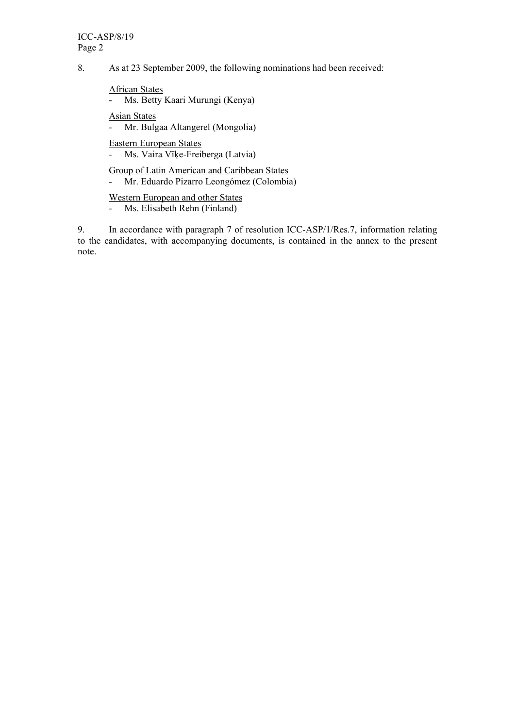8. As at 23 September 2009, the following nominations had been received:

African States

- Ms. Betty Kaari Murungi (Kenya)

Asian States

- Mr. Bulgaa Altangerel (Mongolia)

Eastern European States

- Ms. Vaira Vīķe-Freiberga (Latvia)

Group of Latin American and Caribbean States

- Mr. Eduardo Pizarro Leongómez (Colombia)

Western European and other States

- Ms. Elisabeth Rehn (Finland)

9. In accordance with paragraph 7 of resolution ICC-ASP/1/Res.7, information relating to the candidates, with accompanying documents, is contained in the annex to the present note.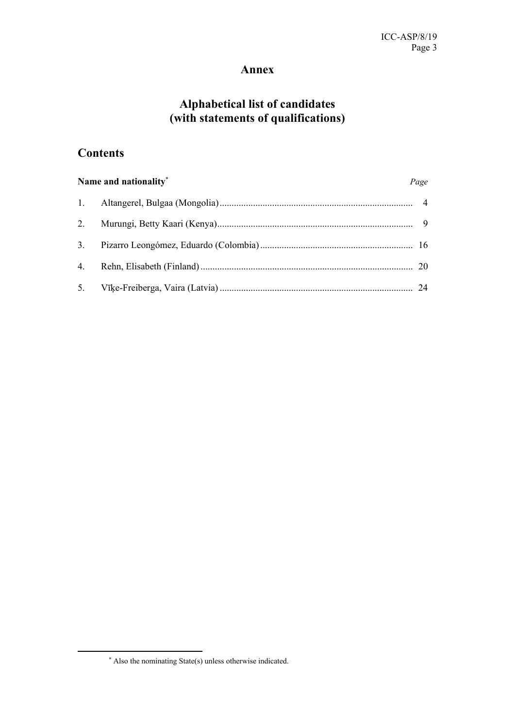# **Annex**

# **Alphabetical list of candidates (with statements of qualifications)**

# **Contents**

| Name and nationality* |  | Page |
|-----------------------|--|------|
|                       |  |      |
|                       |  |      |
|                       |  |      |
|                       |  |      |
|                       |  |      |

 $\overline{a}$ 

<sup>∗</sup> Also the nominating State(s) unless otherwise indicated.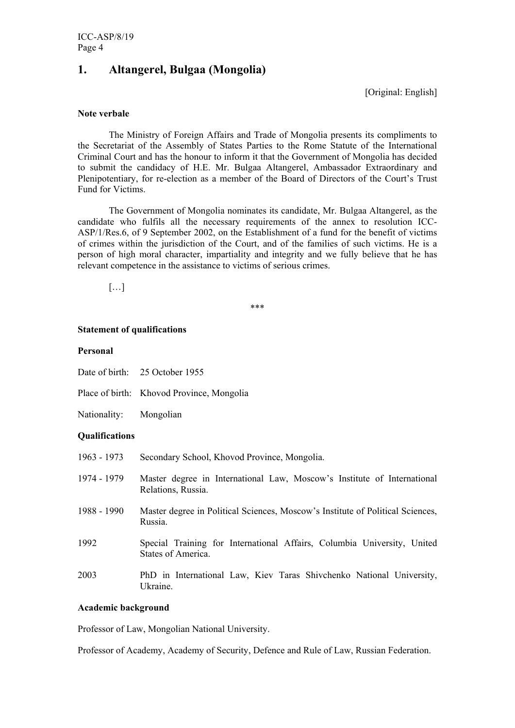# **1. Altangerel, Bulgaa (Mongolia)**

[Original: English]

#### **Note verbale**

The Ministry of Foreign Affairs and Trade of Mongolia presents its compliments to the Secretariat of the Assembly of States Parties to the Rome Statute of the International Criminal Court and has the honour to inform it that the Government of Mongolia has decided to submit the candidacy of H.E. Mr. Bulgaa Altangerel, Ambassador Extraordinary and Plenipotentiary, for re-election as a member of the Board of Directors of the Court's Trust Fund for Victims.

The Government of Mongolia nominates its candidate, Mr. Bulgaa Altangerel, as the candidate who fulfils all the necessary requirements of the annex to resolution ICC-ASP/1/Res.6, of 9 September 2002, on the Establishment of a fund for the benefit of victims of crimes within the jurisdiction of the Court, and of the families of such victims. He is a person of high moral character, impartiality and integrity and we fully believe that he has relevant competence in the assistance to victims of serious crimes.

 $[\dots]$ 

\*\*\*

#### **Statement of qualifications**

#### **Personal**

Place of birth: Khovod Province, Mongolia

Nationality: Mongolian

#### **Qualifications**

- 1963 1973 Secondary School, Khovod Province, Mongolia.
- 1974 1979 Master degree in International Law, Moscow's Institute of International Relations, Russia.
- 1988 1990 Master degree in Political Sciences, Moscow's Institute of Political Sciences, Russia.
- 1992 Special Training for International Affairs, Columbia University, United States of America.
- 2003 PhD in International Law, Kiev Taras Shivchenko National University, Ukraine.

#### **Academic background**

Professor of Law, Mongolian National University.

Professor of Academy, Academy of Security, Defence and Rule of Law, Russian Federation.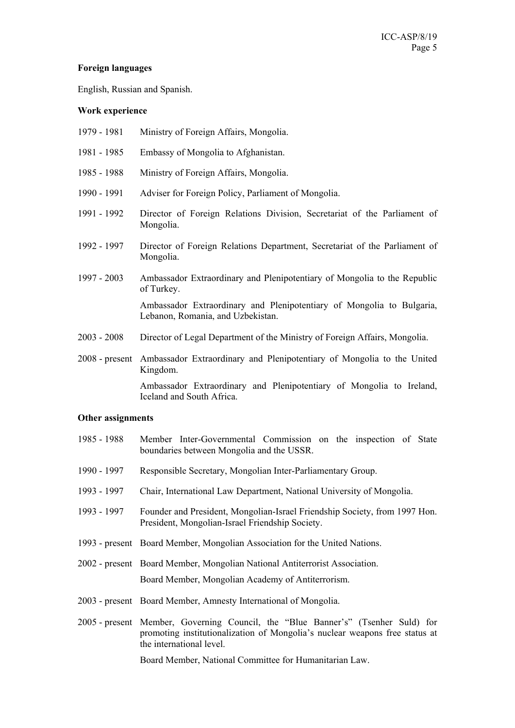#### **Foreign languages**

English, Russian and Spanish.

# **Work experience**

- 1979 1981 Ministry of Foreign Affairs, Mongolia.
- 1981 1985 Embassy of Mongolia to Afghanistan.
- 1985 1988 Ministry of Foreign Affairs, Mongolia.
- 1990 1991 Adviser for Foreign Policy, Parliament of Mongolia.
- 1991 1992 Director of Foreign Relations Division, Secretariat of the Parliament of Mongolia.
- 1992 1997 Director of Foreign Relations Department, Secretariat of the Parliament of Mongolia.
- 1997 2003 Ambassador Extraordinary and Plenipotentiary of Mongolia to the Republic of Turkey. Ambassador Extraordinary and Plenipotentiary of Mongolia to Bulgaria,

Lebanon, Romania, and Uzbekistan.

- 2003 2008 Director of Legal Department of the Ministry of Foreign Affairs, Mongolia.
- 2008 present Ambassador Extraordinary and Plenipotentiary of Mongolia to the United Kingdom.

 Ambassador Extraordinary and Plenipotentiary of Mongolia to Ireland, Iceland and South Africa.

#### **Other assignments**

- 1985 1988 Member Inter-Governmental Commission on the inspection of State boundaries between Mongolia and the USSR.
- 1990 1997 Responsible Secretary, Mongolian Inter-Parliamentary Group.
- 1993 1997 Chair, International Law Department, National University of Mongolia.
- 1993 1997 Founder and President, Mongolian-Israel Friendship Society, from 1997 Hon. President, Mongolian-Israel Friendship Society.
- 1993 present Board Member, Mongolian Association for the United Nations.
- 2002 present Board Member, Mongolian National Antiterrorist Association. Board Member, Mongolian Academy of Antiterrorism.
- 2003 present Board Member, Amnesty International of Mongolia.
- 2005 present Member, Governing Council, the "Blue Banner's" (Tsenher Suld) for promoting institutionalization of Mongolia's nuclear weapons free status at the international level.

Board Member, National Committee for Humanitarian Law.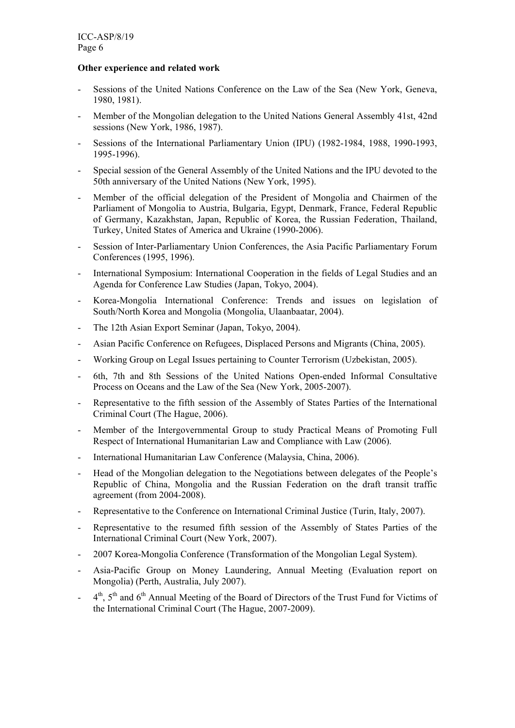# **Other experience and related work**

- Sessions of the United Nations Conference on the Law of the Sea (New York, Geneva, 1980, 1981).
- Member of the Mongolian delegation to the United Nations General Assembly 41st, 42nd sessions (New York, 1986, 1987).
- Sessions of the International Parliamentary Union (IPU) (1982-1984, 1988, 1990-1993, 1995-1996).
- Special session of the General Assembly of the United Nations and the IPU devoted to the 50th anniversary of the United Nations (New York, 1995).
- Member of the official delegation of the President of Mongolia and Chairmen of the Parliament of Mongolia to Austria, Bulgaria, Egypt, Denmark, France, Federal Republic of Germany, Kazakhstan, Japan, Republic of Korea, the Russian Federation, Thailand, Turkey, United States of America and Ukraine (1990-2006).
- Session of Inter-Parliamentary Union Conferences, the Asia Pacific Parliamentary Forum Conferences (1995, 1996).
- International Symposium: International Cooperation in the fields of Legal Studies and an Agenda for Conference Law Studies (Japan, Tokyo, 2004).
- Korea-Mongolia International Conference: Trends and issues on legislation of South/North Korea and Mongolia (Mongolia, Ulaanbaatar, 2004).
- The 12th Asian Export Seminar (Japan, Tokyo, 2004).
- Asian Pacific Conference on Refugees, Displaced Persons and Migrants (China, 2005).
- Working Group on Legal Issues pertaining to Counter Terrorism (Uzbekistan, 2005).
- 6th, 7th and 8th Sessions of the United Nations Open-ended Informal Consultative Process on Oceans and the Law of the Sea (New York, 2005-2007).
- Representative to the fifth session of the Assembly of States Parties of the International Criminal Court (The Hague, 2006).
- Member of the Intergovernmental Group to study Practical Means of Promoting Full Respect of International Humanitarian Law and Compliance with Law (2006).
- International Humanitarian Law Conference (Malaysia, China, 2006).
- Head of the Mongolian delegation to the Negotiations between delegates of the People's Republic of China, Mongolia and the Russian Federation on the draft transit traffic agreement (from 2004-2008).
- Representative to the Conference on International Criminal Justice (Turin, Italy, 2007).
- Representative to the resumed fifth session of the Assembly of States Parties of the International Criminal Court (New York, 2007).
- 2007 Korea-Mongolia Conference (Transformation of the Mongolian Legal System).
- Asia-Pacific Group on Money Laundering, Annual Meeting (Evaluation report on Mongolia) (Perth, Australia, July 2007).
- $-4<sup>th</sup>$ ,  $5<sup>th</sup>$  and  $6<sup>th</sup>$  Annual Meeting of the Board of Directors of the Trust Fund for Victims of the International Criminal Court (The Hague, 2007-2009).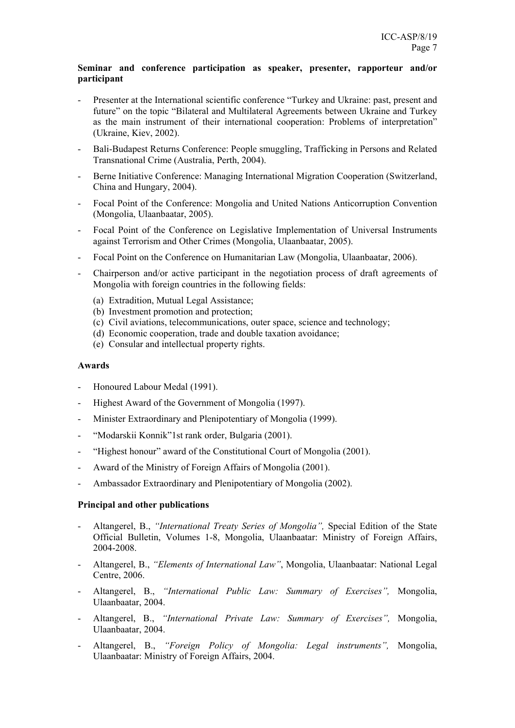# **Seminar and conference participation as speaker, presenter, rapporteur and/or participant**

- Presenter at the International scientific conference "Turkey and Ukraine: past, present and future" on the topic "Bilateral and Multilateral Agreements between Ukraine and Turkey as the main instrument of their international cooperation: Problems of interpretation" (Ukraine, Kiev, 2002).
- Bali-Budapest Returns Conference: People smuggling, Trafficking in Persons and Related Transnational Crime (Australia, Perth, 2004).
- Berne Initiative Conference: Managing International Migration Cooperation (Switzerland, China and Hungary, 2004).
- Focal Point of the Conference: Mongolia and United Nations Anticorruption Convention (Mongolia, Ulaanbaatar, 2005).
- Focal Point of the Conference on Legislative Implementation of Universal Instruments against Terrorism and Other Crimes (Mongolia, Ulaanbaatar, 2005).
- Focal Point on the Conference on Humanitarian Law (Mongolia, Ulaanbaatar, 2006).
- Chairperson and/or active participant in the negotiation process of draft agreements of Mongolia with foreign countries in the following fields:
	- (a) Extradition, Mutual Legal Assistance;
	- (b) Investment promotion and protection;
	- (c) Civil aviations, telecommunications, outer space, science and technology;
	- (d) Economic cooperation, trade and double taxation avoidance;
	- (e) Consular and intellectual property rights.

#### **Awards**

- Honoured Labour Medal (1991).
- Highest Award of the Government of Mongolia (1997).
- Minister Extraordinary and Plenipotentiary of Mongolia (1999).
- "Modarskii Konnik"1st rank order, Bulgaria (2001).
- "Highest honour" award of the Constitutional Court of Mongolia (2001).
- Award of the Ministry of Foreign Affairs of Mongolia (2001).
- Ambassador Extraordinary and Plenipotentiary of Mongolia (2002).

# **Principal and other publications**

- Altangerel, B., *"International Treaty Series of Mongolia",* Special Edition of the State Official Bulletin, Volumes 1-8, Mongolia, Ulaanbaatar: Ministry of Foreign Affairs, 2004-2008.
- Altangerel, B., *"Elements of International Law"*, Mongolia, Ulaanbaatar: National Legal Centre, 2006.
- Altangerel, B., *"International Public Law: Summary of Exercises",* Mongolia, Ulaanbaatar, 2004.
- Altangerel, B., *"International Private Law: Summary of Exercises",* Mongolia, Ulaanbaatar, 2004.
- Altangerel, B., *"Foreign Policy of Mongolia: Legal instruments",* Mongolia, Ulaanbaatar: Ministry of Foreign Affairs, 2004.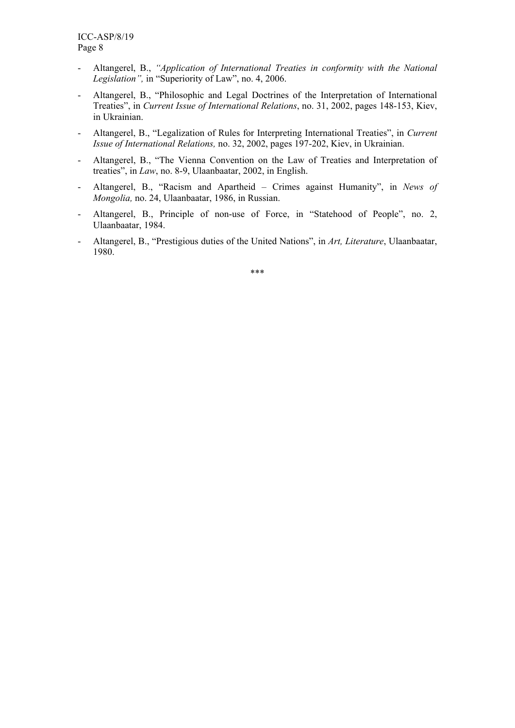- Altangerel, B., *"Application of International Treaties in conformity with the National Legislation",* in "Superiority of Law", no. 4, 2006.
- Altangerel, B., "Philosophic and Legal Doctrines of the Interpretation of International Treaties", in *Current Issue of International Relations*, no. 31, 2002, pages 148-153, Kiev, in Ukrainian.
- Altangerel, B., "Legalization of Rules for Interpreting International Treaties", in *Current Issue of International Relations,* no. 32, 2002, pages 197-202, Kiev, in Ukrainian.
- Altangerel, B., "The Vienna Convention on the Law of Treaties and Interpretation of treaties", in *Law*, no. 8-9, Ulaanbaatar, 2002, in English.
- Altangerel, B., "Racism and Apartheid Crimes against Humanity", in *News of Mongolia,* no. 24, Ulaanbaatar, 1986, in Russian.
- Altangerel, B., Principle of non-use of Force, in "Statehood of People", no. 2, Ulaanbaatar, 1984.
- Altangerel, B., "Prestigious duties of the United Nations", in *Art, Literature*, Ulaanbaatar, 1980.

\*\*\*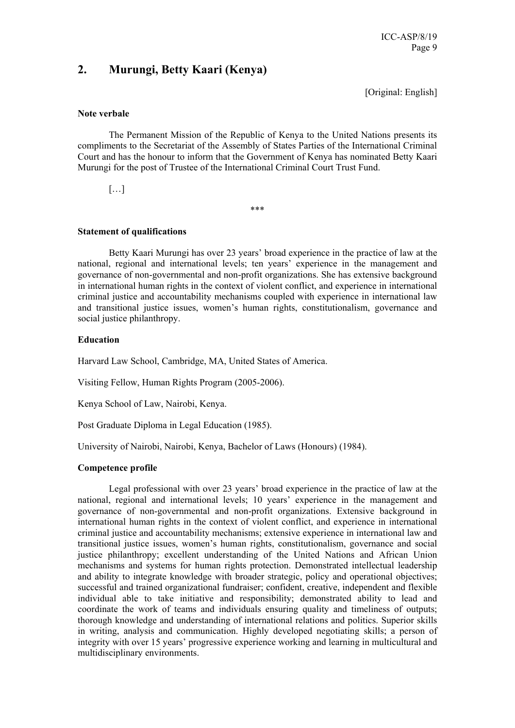# **2. Murungi, Betty Kaari (Kenya)**

[Original: English]

#### **Note verbale**

The Permanent Mission of the Republic of Kenya to the United Nations presents its compliments to the Secretariat of the Assembly of States Parties of the International Criminal Court and has the honour to inform that the Government of Kenya has nominated Betty Kaari Murungi for the post of Trustee of the International Criminal Court Trust Fund.

 $[\ldots]$ 

\*\*\*

# **Statement of qualifications**

Betty Kaari Murungi has over 23 years' broad experience in the practice of law at the national, regional and international levels; ten years' experience in the management and governance of non-governmental and non-profit organizations. She has extensive background in international human rights in the context of violent conflict, and experience in international criminal justice and accountability mechanisms coupled with experience in international law and transitional justice issues, women's human rights, constitutionalism, governance and social justice philanthropy.

# **Education**

Harvard Law School, Cambridge, MA, United States of America.

Visiting Fellow, Human Rights Program (2005-2006).

Kenya School of Law, Nairobi, Kenya.

Post Graduate Diploma in Legal Education (1985).

University of Nairobi, Nairobi, Kenya, Bachelor of Laws (Honours) (1984).

# **Competence profile**

Legal professional with over 23 years' broad experience in the practice of law at the national, regional and international levels; 10 years' experience in the management and governance of non-governmental and non-profit organizations. Extensive background in international human rights in the context of violent conflict, and experience in international criminal justice and accountability mechanisms; extensive experience in international law and transitional justice issues, women's human rights, constitutionalism, governance and social justice philanthropy; excellent understanding of the United Nations and African Union mechanisms and systems for human rights protection. Demonstrated intellectual leadership and ability to integrate knowledge with broader strategic, policy and operational objectives; successful and trained organizational fundraiser; confident, creative, independent and flexible individual able to take initiative and responsibility; demonstrated ability to lead and coordinate the work of teams and individuals ensuring quality and timeliness of outputs; thorough knowledge and understanding of international relations and politics. Superior skills in writing, analysis and communication. Highly developed negotiating skills; a person of integrity with over 15 years' progressive experience working and learning in multicultural and multidisciplinary environments.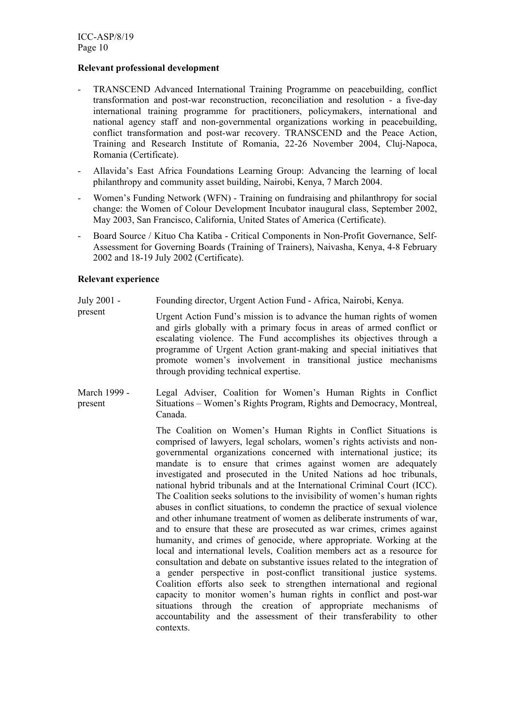#### **Relevant professional development**

- TRANSCEND Advanced International Training Programme on peacebuilding, conflict transformation and post-war reconstruction, reconciliation and resolution - a five-day international training programme for practitioners, policymakers, international and national agency staff and non-governmental organizations working in peacebuilding, conflict transformation and post-war recovery. TRANSCEND and the Peace Action, Training and Research Institute of Romania, 22-26 November 2004, Cluj-Napoca, Romania (Certificate).
- Allavida's East Africa Foundations Learning Group: Advancing the learning of local philanthropy and community asset building, Nairobi, Kenya, 7 March 2004.
- Women's Funding Network (WFN) Training on fundraising and philanthropy for social change: the Women of Colour Development Incubator inaugural class, September 2002, May 2003, San Francisco, California, United States of America (Certificate).
- Board Source / Kituo Cha Katiba Critical Components in Non-Profit Governance, Self-Assessment for Governing Boards (Training of Trainers), Naivasha, Kenya, 4-8 February 2002 and 18-19 July 2002 (Certificate).

#### **Relevant experience**

- July 2001 Founding director, Urgent Action Fund - Africa, Nairobi, Kenya.
- present Urgent Action Fund's mission is to advance the human rights of women and girls globally with a primary focus in areas of armed conflict or escalating violence. The Fund accomplishes its objectives through a programme of Urgent Action grant-making and special initiatives that promote women's involvement in transitional justice mechanisms through providing technical expertise.
- March 1999 present Legal Adviser, Coalition for Women's Human Rights in Conflict Situations – Women's Rights Program, Rights and Democracy, Montreal, Canada.

The Coalition on Women's Human Rights in Conflict Situations is comprised of lawyers, legal scholars, women's rights activists and nongovernmental organizations concerned with international justice; its mandate is to ensure that crimes against women are adequately investigated and prosecuted in the United Nations ad hoc tribunals, national hybrid tribunals and at the International Criminal Court (ICC). The Coalition seeks solutions to the invisibility of women's human rights abuses in conflict situations, to condemn the practice of sexual violence and other inhumane treatment of women as deliberate instruments of war, and to ensure that these are prosecuted as war crimes, crimes against humanity, and crimes of genocide, where appropriate. Working at the local and international levels, Coalition members act as a resource for consultation and debate on substantive issues related to the integration of a gender perspective in post-conflict transitional justice systems. Coalition efforts also seek to strengthen international and regional capacity to monitor women's human rights in conflict and post-war situations through the creation of appropriate mechanisms of accountability and the assessment of their transferability to other contexts.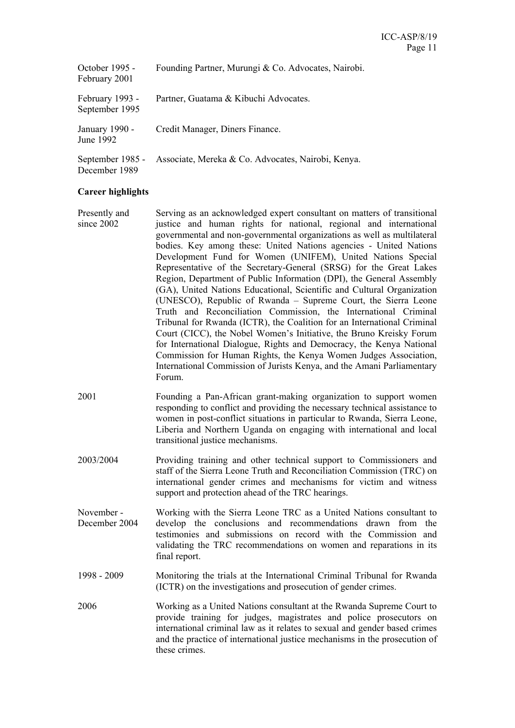| October 1995 -<br>February 2001   | Founding Partner, Murungi & Co. Advocates, Nairobi. |
|-----------------------------------|-----------------------------------------------------|
| February 1993 -<br>September 1995 | Partner, Guatama & Kibuchi Advocates.               |
| January 1990 -<br>June 1992       | Credit Manager, Diners Finance.                     |
| September 1985 -<br>December 1989 | Associate, Mereka & Co. Advocates, Nairobi, Kenya.  |

# **Career highlights**

- Presently and since 2002 Serving as an acknowledged expert consultant on matters of transitional justice and human rights for national, regional and international governmental and non-governmental organizations as well as multilateral bodies. Key among these: United Nations agencies - United Nations Development Fund for Women (UNIFEM), United Nations Special Representative of the Secretary-General (SRSG) for the Great Lakes Region, Department of Public Information (DPI), the General Assembly (GA), United Nations Educational, Scientific and Cultural Organization (UNESCO), Republic of Rwanda – Supreme Court, the Sierra Leone Truth and Reconciliation Commission, the International Criminal Tribunal for Rwanda (ICTR), the Coalition for an International Criminal Court (CICC), the Nobel Women's Initiative, the Bruno Kreisky Forum for International Dialogue, Rights and Democracy, the Kenya National Commission for Human Rights, the Kenya Women Judges Association, International Commission of Jurists Kenya, and the Amani Parliamentary Forum.
- 2001 Founding a Pan-African grant-making organization to support women responding to conflict and providing the necessary technical assistance to women in post-conflict situations in particular to Rwanda, Sierra Leone, Liberia and Northern Uganda on engaging with international and local transitional justice mechanisms.
- 2003/2004 Providing training and other technical support to Commissioners and staff of the Sierra Leone Truth and Reconciliation Commission (TRC) on international gender crimes and mechanisms for victim and witness support and protection ahead of the TRC hearings.
- November December 2004 Working with the Sierra Leone TRC as a United Nations consultant to develop the conclusions and recommendations drawn from the testimonies and submissions on record with the Commission and validating the TRC recommendations on women and reparations in its final report.
- 1998 2009 Monitoring the trials at the International Criminal Tribunal for Rwanda (ICTR) on the investigations and prosecution of gender crimes.
- 2006 Working as a United Nations consultant at the Rwanda Supreme Court to provide training for judges, magistrates and police prosecutors on international criminal law as it relates to sexual and gender based crimes and the practice of international justice mechanisms in the prosecution of these crimes.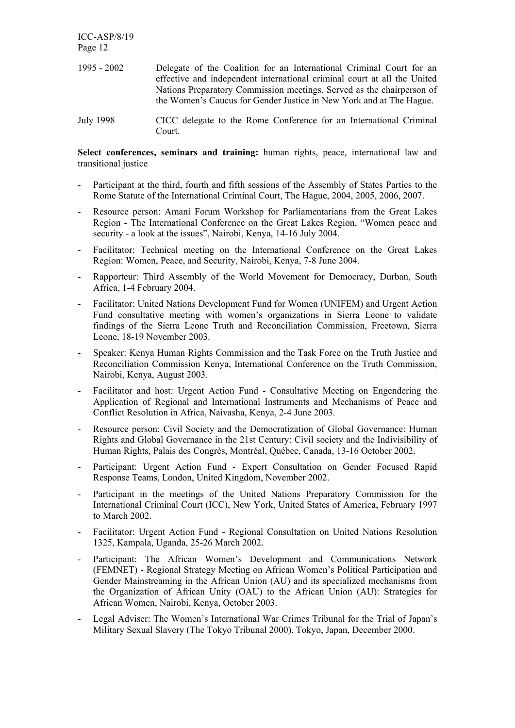| $1995 - 2002$ | Delegate of the Coalition for an International Criminal Court for an     |
|---------------|--------------------------------------------------------------------------|
|               | effective and independent international criminal court at all the United |
|               | Nations Preparatory Commission meetings. Served as the chairperson of    |
|               | the Women's Caucus for Gender Justice in New York and at The Hague.      |
|               |                                                                          |

July 1998 CICC delegate to the Rome Conference for an International Criminal Court.

**Select conferences, seminars and training:** human rights, peace, international law and transitional justice

- Participant at the third, fourth and fifth sessions of the Assembly of States Parties to the Rome Statute of the International Criminal Court, The Hague, 2004, 2005, 2006, 2007.
- Resource person: Amani Forum Workshop for Parliamentarians from the Great Lakes Region - The International Conference on the Great Lakes Region, "Women peace and security - a look at the issues", Nairobi, Kenya, 14-16 July 2004.
- Facilitator: Technical meeting on the International Conference on the Great Lakes Region: Women, Peace, and Security, Nairobi, Kenya, 7-8 June 2004.
- Rapporteur: Third Assembly of the World Movement for Democracy, Durban, South Africa, 1-4 February 2004.
- Facilitator: United Nations Development Fund for Women (UNIFEM) and Urgent Action Fund consultative meeting with women's organizations in Sierra Leone to validate findings of the Sierra Leone Truth and Reconciliation Commission, Freetown, Sierra Leone, 18-19 November 2003.
- Speaker: Kenya Human Rights Commission and the Task Force on the Truth Justice and Reconciliation Commission Kenya, International Conference on the Truth Commission, Nairobi, Kenya, August 2003.
- Facilitator and host: Urgent Action Fund Consultative Meeting on Engendering the Application of Regional and International Instruments and Mechanisms of Peace and Conflict Resolution in Africa, Naivasha, Kenya, 2-4 June 2003.
- Resource person: Civil Society and the Democratization of Global Governance: Human Rights and Global Governance in the 21st Century: Civil society and the Indivisibility of Human Rights, Palais des Congrès, Montréal, Québec, Canada, 13-16 October 2002.
- Participant: Urgent Action Fund Expert Consultation on Gender Focused Rapid Response Teams, London, United Kingdom, November 2002.
- Participant in the meetings of the United Nations Preparatory Commission for the International Criminal Court (ICC), New York, United States of America, February 1997 to March 2002.
- Facilitator: Urgent Action Fund Regional Consultation on United Nations Resolution 1325, Kampala, Uganda, 25-26 March 2002.
- Participant: The African Women's Development and Communications Network (FEMNET) - Regional Strategy Meeting on African Women's Political Participation and Gender Mainstreaming in the African Union (AU) and its specialized mechanisms from the Organization of African Unity (OAU) to the African Union (AU): Strategies for African Women, Nairobi, Kenya, October 2003.
- Legal Adviser: The Women's International War Crimes Tribunal for the Trial of Japan's Military Sexual Slavery (The Tokyo Tribunal 2000), Tokyo, Japan, December 2000.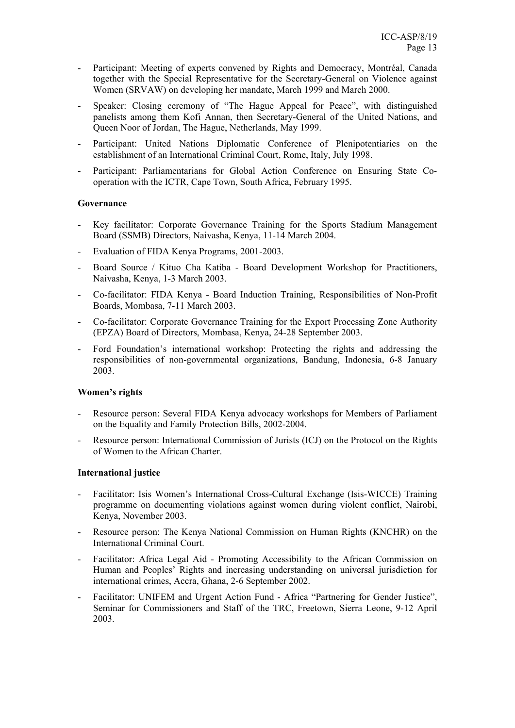- Participant: Meeting of experts convened by Rights and Democracy, Montréal, Canada together with the Special Representative for the Secretary-General on Violence against Women (SRVAW) on developing her mandate, March 1999 and March 2000.
- Speaker: Closing ceremony of "The Hague Appeal for Peace", with distinguished panelists among them Kofi Annan, then Secretary-General of the United Nations, and Queen Noor of Jordan, The Hague, Netherlands, May 1999.
- Participant: United Nations Diplomatic Conference of Plenipotentiaries on the establishment of an International Criminal Court, Rome, Italy, July 1998.
- Participant: Parliamentarians for Global Action Conference on Ensuring State Cooperation with the ICTR, Cape Town, South Africa, February 1995.

# **Governance**

- Key facilitator: Corporate Governance Training for the Sports Stadium Management Board (SSMB) Directors, Naivasha, Kenya, 11-14 March 2004.
- Evaluation of FIDA Kenya Programs, 2001-2003.
- Board Source / Kituo Cha Katiba Board Development Workshop for Practitioners, Naivasha, Kenya, 1-3 March 2003.
- Co-facilitator: FIDA Kenya Board Induction Training, Responsibilities of Non-Profit Boards, Mombasa, 7-11 March 2003.
- Co-facilitator: Corporate Governance Training for the Export Processing Zone Authority (EPZA) Board of Directors, Mombasa, Kenya, 24-28 September 2003.
- Ford Foundation's international workshop: Protecting the rights and addressing the responsibilities of non-governmental organizations, Bandung, Indonesia, 6-8 January 2003.

#### **Women's rights**

- Resource person: Several FIDA Kenya advocacy workshops for Members of Parliament on the Equality and Family Protection Bills, 2002-2004.
- Resource person: International Commission of Jurists (ICJ) on the Protocol on the Rights of Women to the African Charter.

#### **International justice**

- Facilitator: Isis Women's International Cross-Cultural Exchange (Isis-WICCE) Training programme on documenting violations against women during violent conflict, Nairobi, Kenya, November 2003.
- Resource person: The Kenya National Commission on Human Rights (KNCHR) on the International Criminal Court.
- Facilitator: Africa Legal Aid Promoting Accessibility to the African Commission on Human and Peoples' Rights and increasing understanding on universal jurisdiction for international crimes, Accra, Ghana, 2-6 September 2002.
- Facilitator: UNIFEM and Urgent Action Fund Africa "Partnering for Gender Justice", Seminar for Commissioners and Staff of the TRC, Freetown, Sierra Leone, 9-12 April 2003.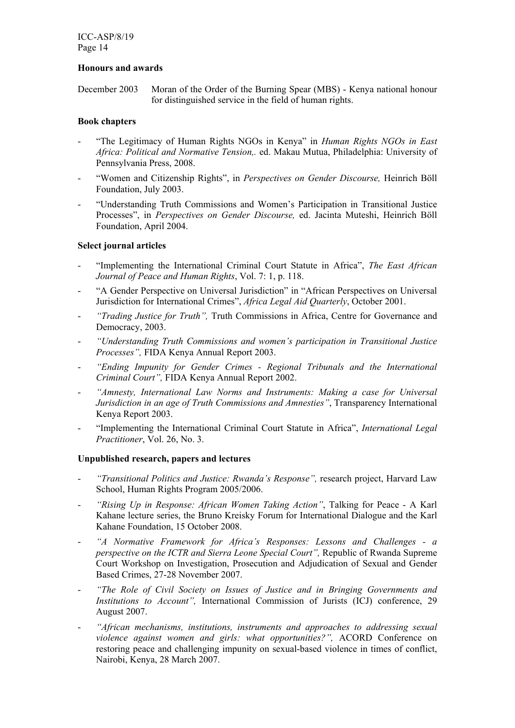# **Honours and awards**

December 2003 Moran of the Order of the Burning Spear (MBS) - Kenya national honour for distinguished service in the field of human rights.

# **Book chapters**

- "The Legitimacy of Human Rights NGOs in Kenya" in *Human Rights NGOs in East Africa: Political and Normative Tension,.* ed. Makau Mutua, Philadelphia: University of Pennsylvania Press, 2008.
- "Women and Citizenship Rights", in *Perspectives on Gender Discourse,* Heinrich Böll Foundation, July 2003.
- "Understanding Truth Commissions and Women's Participation in Transitional Justice Processes", in *Perspectives on Gender Discourse,* ed. Jacinta Muteshi, Heinrich Böll Foundation, April 2004.

# **Select journal articles**

- "Implementing the International Criminal Court Statute in Africa", *The East African Journal of Peace and Human Rights*, Vol. 7: 1, p. 118.
- "A Gender Perspective on Universal Jurisdiction" in "African Perspectives on Universal Jurisdiction for International Crimes", *Africa Legal Aid Quarterly*, October 2001.
- *"Trading Justice for Truth",* Truth Commissions in Africa, Centre for Governance and Democracy, 2003.
- *"Understanding Truth Commissions and women's participation in Transitional Justice Processes",* FIDA Kenya Annual Report 2003.
- *"Ending Impunity for Gender Crimes Regional Tribunals and the International Criminal Court",* FIDA Kenya Annual Report 2002.
- *"Amnesty, International Law Norms and Instruments: Making a case for Universal Jurisdiction in an age of Truth Commissions and Amnesties"*, Transparency International Kenya Report 2003.
- "Implementing the International Criminal Court Statute in Africa", *International Legal Practitioner*, Vol. 26, No. 3.

# **Unpublished research, papers and lectures**

- *"Transitional Politics and Justice: Rwanda's Response",* research project, Harvard Law School, Human Rights Program 2005/2006.
- "Rising Up in Response: African Women Taking Action", Talking for Peace A Karl Kahane lecture series, the Bruno Kreisky Forum for International Dialogue and the Karl Kahane Foundation, 15 October 2008.
- *"A Normative Framework for Africa's Responses: Lessons and Challenges a perspective on the ICTR and Sierra Leone Special Court",* Republic of Rwanda Supreme Court Workshop on Investigation, Prosecution and Adjudication of Sexual and Gender Based Crimes, 27-28 November 2007.
- *"The Role of Civil Society on Issues of Justice and in Bringing Governments and Institutions to Account",* International Commission of Jurists (ICJ) conference, 29 August 2007.
- *"African mechanisms, institutions, instruments and approaches to addressing sexual violence against women and girls: what opportunities?",* ACORD Conference on restoring peace and challenging impunity on sexual-based violence in times of conflict, Nairobi, Kenya, 28 March 2007.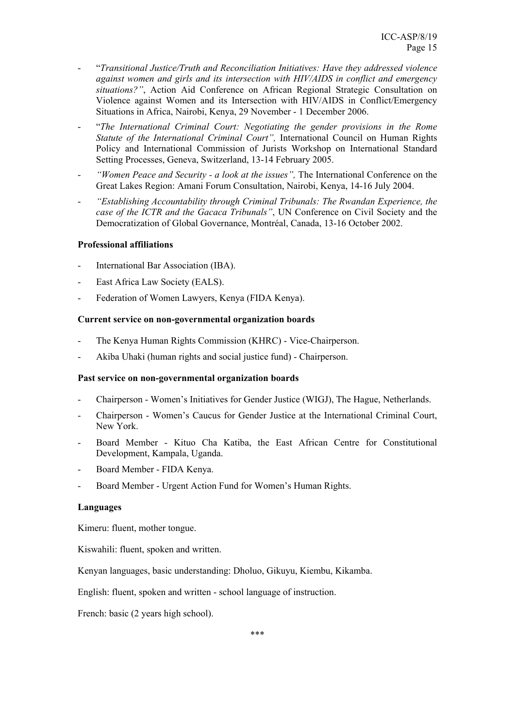- "*Transitional Justice/Truth and Reconciliation Initiatives: Have they addressed violence against women and girls and its intersection with HIV/AIDS in conflict and emergency situations?"*, Action Aid Conference on African Regional Strategic Consultation on Violence against Women and its Intersection with HIV/AIDS in Conflict/Emergency Situations in Africa, Nairobi, Kenya, 29 November - 1 December 2006.
- "*The International Criminal Court: Negotiating the gender provisions in the Rome Statute of the International Criminal Court",* International Council on Human Rights Policy and International Commission of Jurists Workshop on International Standard Setting Processes, Geneva, Switzerland, 13-14 February 2005.
- *"Women Peace and Security a look at the issues",* The International Conference on the Great Lakes Region: Amani Forum Consultation, Nairobi, Kenya, 14-16 July 2004.
- *"Establishing Accountability through Criminal Tribunals: The Rwandan Experience, the case of the ICTR and the Gacaca Tribunals"*, UN Conference on Civil Society and the Democratization of Global Governance, Montréal, Canada, 13-16 October 2002.

# **Professional affiliations**

- International Bar Association (IBA).
- East Africa Law Society (EALS).
- Federation of Women Lawyers, Kenya (FIDA Kenya).

# **Current service on non-governmental organization boards**

- The Kenya Human Rights Commission (KHRC) Vice-Chairperson.
- Akiba Uhaki (human rights and social justice fund) Chairperson.

#### **Past service on non-governmental organization boards**

- Chairperson Women's Initiatives for Gender Justice (WIGJ), The Hague, Netherlands.
- Chairperson Women's Caucus for Gender Justice at the International Criminal Court, New York.
- Board Member Kituo Cha Katiba, the East African Centre for Constitutional Development, Kampala, Uganda.
- Board Member FIDA Kenya.
- Board Member Urgent Action Fund for Women's Human Rights.

#### **Languages**

Kimeru: fluent, mother tongue.

Kiswahili: fluent, spoken and written.

Kenyan languages, basic understanding: Dholuo, Gikuyu, Kiembu, Kikamba.

English: fluent, spoken and written - school language of instruction.

French: basic (2 years high school).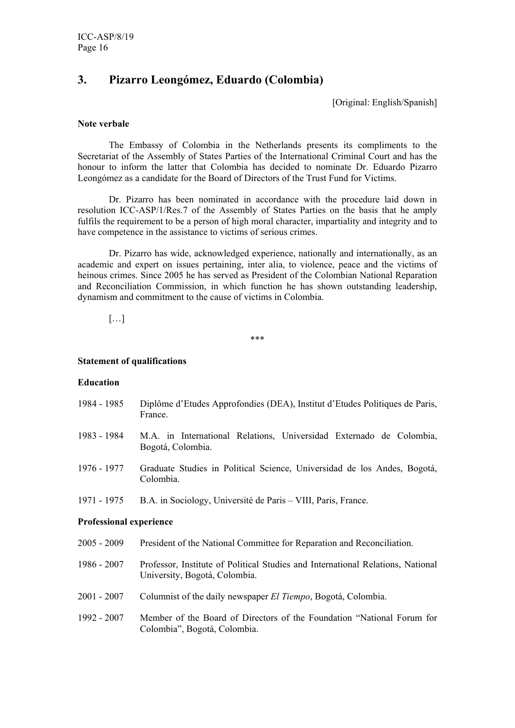# **3. Pizarro Leongómez, Eduardo (Colombia)**

[Original: English/Spanish]

#### **Note verbale**

 The Embassy of Colombia in the Netherlands presents its compliments to the Secretariat of the Assembly of States Parties of the International Criminal Court and has the honour to inform the latter that Colombia has decided to nominate Dr. Eduardo Pizarro Leongómez as a candidate for the Board of Directors of the Trust Fund for Victims.

 Dr. Pizarro has been nominated in accordance with the procedure laid down in resolution ICC-ASP/1/Res.7 of the Assembly of States Parties on the basis that he amply fulfils the requirement to be a person of high moral character, impartiality and integrity and to have competence in the assistance to victims of serious crimes.

 Dr. Pizarro has wide, acknowledged experience, nationally and internationally, as an academic and expert on issues pertaining, inter alia, to violence, peace and the victims of heinous crimes. Since 2005 he has served as President of the Colombian National Reparation and Reconciliation Commission, in which function he has shown outstanding leadership, dynamism and commitment to the cause of victims in Colombia.

 $[...]$ 

\*\*\*

#### **Statement of qualifications**

#### **Education**

- 1984 1985 Diplôme d'Etudes Approfondies (DEA), Institut d'Etudes Politiques de Paris, France.
- 1983 1984 M.A. in International Relations, Universidad Externado de Colombia, Bogotá, Colombia.
- 1976 1977 Graduate Studies in Political Science, Universidad de los Andes, Bogotá, Colombia.
- 1971 1975 B.A. in Sociology, Université de Paris VIII, Paris, France.

# **Professional experience**

- 2005 2009 President of the National Committee for Reparation and Reconciliation.
- 1986 2007 Professor, Institute of Political Studies and International Relations, National University, Bogotá, Colombia.
- 2001 2007 Columnist of the daily newspaper *El Tiempo*, Bogotá, Colombia.
- 1992 2007 Member of the Board of Directors of the Foundation "National Forum for Colombia", Bogotá, Colombia.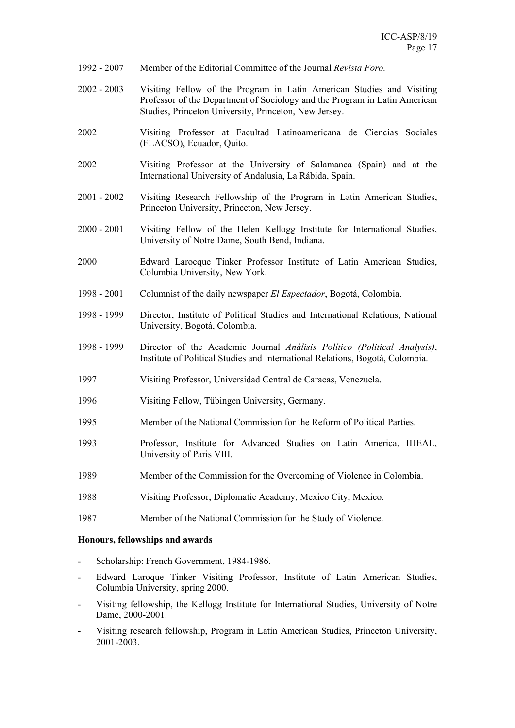- 1992 2007 Member of the Editorial Committee of the Journal *Revista Foro.*
- 2002 2003 Visiting Fellow of the Program in Latin American Studies and Visiting Professor of the Department of Sociology and the Program in Latin American Studies, Princeton University, Princeton, New Jersey.
- 2002 Visiting Professor at Facultad Latinoamericana de Ciencias Sociales (FLACSO), Ecuador, Quito.
- 2002 Visiting Professor at the University of Salamanca (Spain) and at the International University of Andalusia, La Rábida, Spain.
- 2001 2002 Visiting Research Fellowship of the Program in Latin American Studies, Princeton University, Princeton, New Jersey.
- 2000 2001 Visiting Fellow of the Helen Kellogg Institute for International Studies, University of Notre Dame, South Bend, Indiana.
- 2000 Edward Larocque Tinker Professor Institute of Latin American Studies, Columbia University, New York.
- 1998 2001 Columnist of the daily newspaper *El Espectador*, Bogotá, Colombia.
- 1998 1999 Director, Institute of Political Studies and International Relations, National University, Bogotá, Colombia.
- 1998 1999 Director of the Academic Journal *Análisis Político (Political Analysis)*, Institute of Political Studies and International Relations, Bogotá, Colombia.
- 1997 Visiting Professor, Universidad Central de Caracas, Venezuela.
- 1996 Visiting Fellow, Tübingen University, Germany.
- 1995 Member of the National Commission for the Reform of Political Parties.
- 1993 Professor, Institute for Advanced Studies on Latin America, IHEAL, University of Paris VIII.
- 1989 Member of the Commission for the Overcoming of Violence in Colombia.
- 1988 Visiting Professor, Diplomatic Academy, Mexico City, Mexico.
- 1987 Member of the National Commission for the Study of Violence.

# **Honours, fellowships and awards**

- Scholarship: French Government, 1984-1986.
- Edward Laroque Tinker Visiting Professor, Institute of Latin American Studies, Columbia University, spring 2000.
- Visiting fellowship, the Kellogg Institute for International Studies, University of Notre Dame, 2000-2001.
- Visiting research fellowship, Program in Latin American Studies, Princeton University, 2001-2003.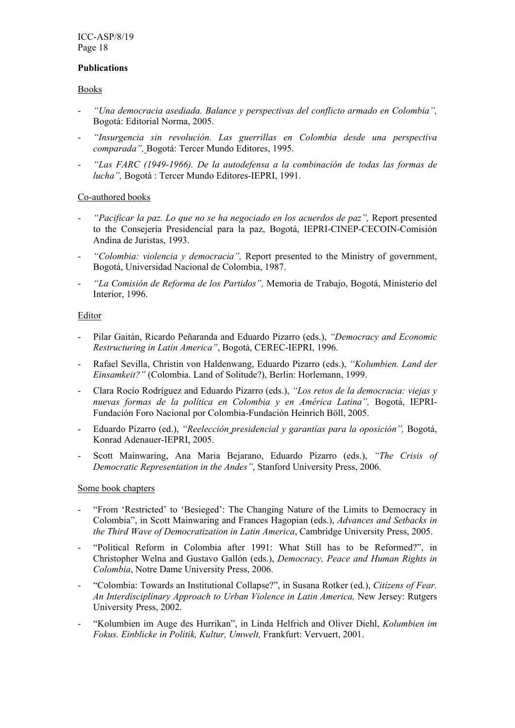# **Publications**

# Books

- *"Una democracia asediada. Balance y perspectivas del conflicto armado en Colombia",*  Bogotá: Editorial Norma, 2005.
- *"Insurgencia sin revolución. Las guerrillas en Colombia desde una perspectiva comparada",* Bogotá: Tercer Mundo Editores, 1995.
- *"Las FARC (1949-1966). De la autodefensa a la combinación de todas las formas de lucha",* Bogotá : Tercer Mundo Editores-IEPRI, 1991.

# Co-authored books

- *"Pacificar la paz. Lo que no se ha negociado en los acuerdos de paz",* Report presented to the Consejería Presidencial para la paz, Bogotá, IEPRI-CINEP-CECOIN-Comisión Andina de Juristas, 1993.
- *"Colombia: violencia y democracia",* Report presented to the Ministry of government, Bogotá, Universidad Nacional de Colombia, 1987.
- *"La Comisión de Reforma de los Partidos",* Memoria de Trabajo, Bogotá, Ministerio del Interior, 1996.

# **Editor**

- Pilar Gaitán, Ricardo Peñaranda and Eduardo Pizarro (eds.), *"Democracy and Economic Restructuring in Latin America"*, Bogotá, CEREC-IEPRI, 1996.
- Rafael Sevilla, Christin von Haldenwang, Eduardo Pizarro (eds.), *"Kolumbien. Land der Einsamkeit?"* (Colombia. Land of Solitude?), Berlin: Horlemann, 1999.
- Clara Rocío Rodríguez and Eduardo Pizarro (eds.), *"Los retos de la democracia: viejas y nuevas formas de la política en Colombia y en América Latina",* Bogotá, IEPRI-Fundación Foro Nacional por Colombia-Fundación Heinrich Böll, 2005.
- Eduardo Pizarro (ed.), *"Reelección presidencial y garantías para la oposición",* Bogotá, Konrad Adenauer-IEPRI, 2005.
- Scott Mainwaring, Ana Maria Bejarano, Eduardo Pizarro (eds.), *"The Crisis of Democratic Representation in the Andes"*, Stanford University Press, 2006.

# Some book chapters

- "From 'Restricted' to 'Besieged': The Changing Nature of the Limits to Democracy in Colombia", in Scott Mainwaring and Frances Hagopian (eds.), *Advances and Setbacks in the Third Wave of Democratization in Latin America*, Cambridge University Press, 2005.
- "Political Reform in Colombia after 1991: What Still has to be Reformed?", in Christopher Welna and Gustavo Gallón (eds.), *Democracy, Peace and Human Rights in Colombia*, Notre Dame University Press, 2006.
- "Colombia: Towards an Institutional Collapse?", in Susana Rotker (ed.), *Citizens of Fear. An Interdisciplinary Approach to Urban Violence in Latin America,* New Jersey: Rutgers University Press, 2002.
- "Kolumbien im Auge des Hurrikan", in Linda Helfrich and Oliver Diehl, *Kolumbien im Fokus. Einblicke in Politik, Kultur, Umwelt,* Frankfurt: Vervuert, 2001.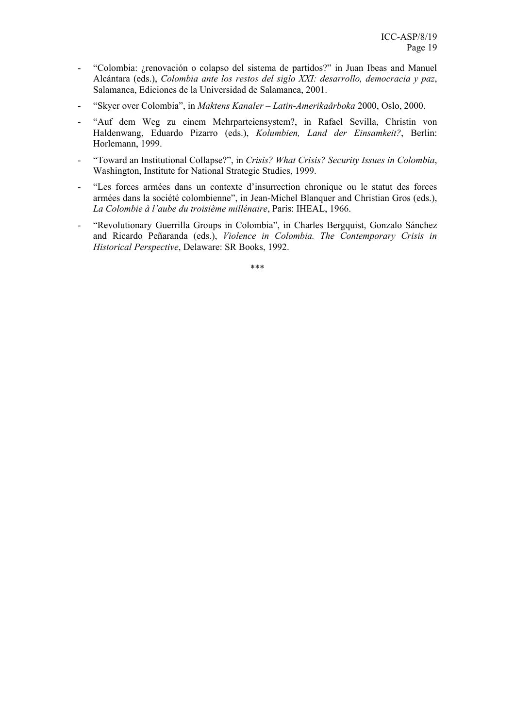- "Colombia: ¿renovación o colapso del sistema de partidos?" in Juan Ibeas and Manuel Alcántara (eds.), *Colombia ante los restos del siglo XXI: desarrollo, democracia y paz*, Salamanca, Ediciones de la Universidad de Salamanca, 2001.
- "Skyer over Colombia", in *Maktens Kanaler Latin-Amerikaårboka* 2000, Oslo, 2000.
- "Auf dem Weg zu einem Mehrparteiensystem?, in Rafael Sevilla, Christin von Haldenwang, Eduardo Pizarro (eds.), *Kolumbien, Land der Einsamkeit?*, Berlin: Horlemann, 1999.
- "Toward an Institutional Collapse?", in *Crisis? What Crisis? Security Issues in Colombia*, Washington, Institute for National Strategic Studies, 1999.
- "Les forces armées dans un contexte d'insurrection chronique ou le statut des forces armées dans la société colombienne", in Jean-Michel Blanquer and Christian Gros (eds.), *La Colombie à l'aube du troisième millénaire*, Paris: IHEAL, 1966.
- "Revolutionary Guerrilla Groups in Colombia", in Charles Bergquist, Gonzalo Sánchez and Ricardo Peñaranda (eds.), *Violence in Colombia. The Contemporary Crisis in Historical Perspective*, Delaware: SR Books, 1992.

\*\*\*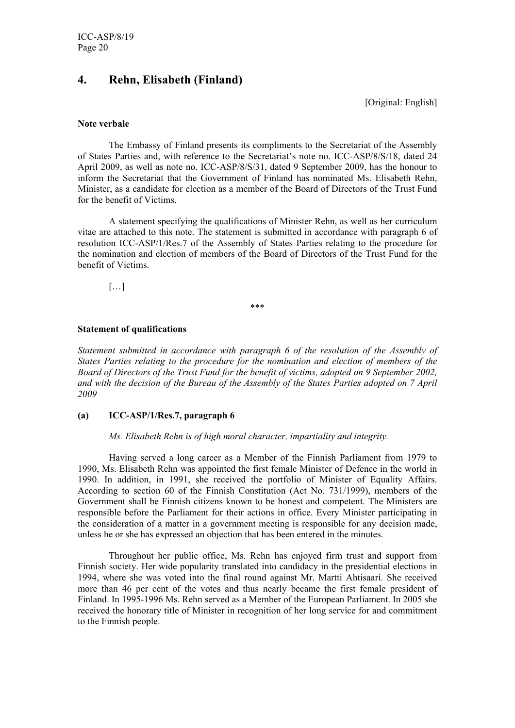# **4. Rehn, Elisabeth (Finland)**

[Original: English]

#### **Note verbale**

 The Embassy of Finland presents its compliments to the Secretariat of the Assembly of States Parties and, with reference to the Secretariat's note no. ICC-ASP/8/S/18, dated 24 April 2009, as well as note no. ICC-ASP/8/S/31, dated 9 September 2009, has the honour to inform the Secretariat that the Government of Finland has nominated Ms. Elisabeth Rehn, Minister, as a candidate for election as a member of the Board of Directors of the Trust Fund for the benefit of Victims.

 A statement specifying the qualifications of Minister Rehn, as well as her curriculum vitae are attached to this note. The statement is submitted in accordance with paragraph 6 of resolution ICC-ASP/1/Res.7 of the Assembly of States Parties relating to the procedure for the nomination and election of members of the Board of Directors of the Trust Fund for the benefit of Victims.

[…]

\*\*\*

# **Statement of qualifications**

*Statement submitted in accordance with paragraph 6 of the resolution of the Assembly of States Parties relating to the procedure for the nomination and election of members of the Board of Directors of the Trust Fund for the benefit of victims, adopted on 9 September 2002, and with the decision of the Bureau of the Assembly of the States Parties adopted on 7 April 2009* 

# **(a) ICC-ASP/1/Res.7, paragraph 6**

*Ms. Elisabeth Rehn is of high moral character, impartiality and integrity.* 

Having served a long career as a Member of the Finnish Parliament from 1979 to 1990, Ms. Elisabeth Rehn was appointed the first female Minister of Defence in the world in 1990. In addition, in 1991, she received the portfolio of Minister of Equality Affairs. According to section 60 of the Finnish Constitution (Act No. 731/1999), members of the Government shall be Finnish citizens known to be honest and competent. The Ministers are responsible before the Parliament for their actions in office. Every Minister participating in the consideration of a matter in a government meeting is responsible for any decision made, unless he or she has expressed an objection that has been entered in the minutes.

Throughout her public office, Ms. Rehn has enjoyed firm trust and support from Finnish society. Her wide popularity translated into candidacy in the presidential elections in 1994, where she was voted into the final round against Mr. Martti Ahtisaari. She received more than 46 per cent of the votes and thus nearly became the first female president of Finland. In 1995-1996 Ms. Rehn served as a Member of the European Parliament. In 2005 she received the honorary title of Minister in recognition of her long service for and commitment to the Finnish people.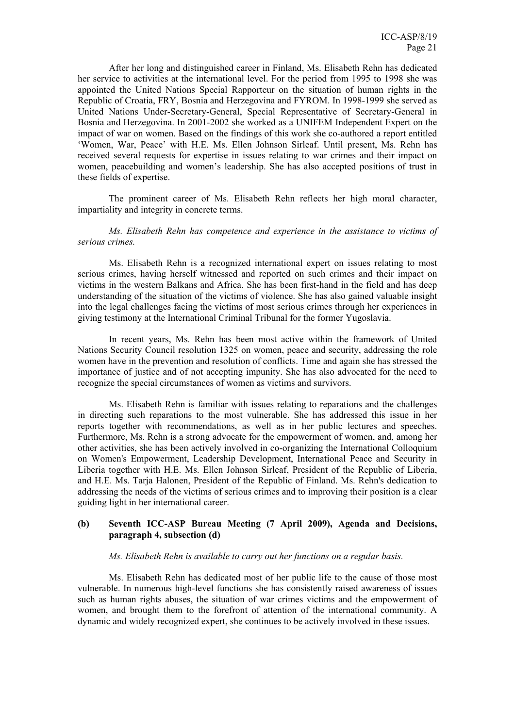After her long and distinguished career in Finland, Ms. Elisabeth Rehn has dedicated her service to activities at the international level. For the period from 1995 to 1998 she was appointed the United Nations Special Rapporteur on the situation of human rights in the Republic of Croatia, FRY, Bosnia and Herzegovina and FYROM. In 1998-1999 she served as United Nations Under-Secretary-General, Special Representative of Secretary-General in Bosnia and Herzegovina. In 2001-2002 she worked as a UNIFEM Independent Expert on the impact of war on women. Based on the findings of this work she co-authored a report entitled 'Women, War, Peace' with H.E. Ms. Ellen Johnson Sirleaf. Until present, Ms. Rehn has received several requests for expertise in issues relating to war crimes and their impact on women, peacebuilding and women's leadership. She has also accepted positions of trust in these fields of expertise.

The prominent career of Ms. Elisabeth Rehn reflects her high moral character, impartiality and integrity in concrete terms.

*Ms. Elisabeth Rehn has competence and experience in the assistance to victims of serious crimes.* 

Ms. Elisabeth Rehn is a recognized international expert on issues relating to most serious crimes, having herself witnessed and reported on such crimes and their impact on victims in the western Balkans and Africa. She has been first-hand in the field and has deep understanding of the situation of the victims of violence. She has also gained valuable insight into the legal challenges facing the victims of most serious crimes through her experiences in giving testimony at the International Criminal Tribunal for the former Yugoslavia.

In recent years, Ms. Rehn has been most active within the framework of United Nations Security Council resolution 1325 on women, peace and security, addressing the role women have in the prevention and resolution of conflicts. Time and again she has stressed the importance of justice and of not accepting impunity. She has also advocated for the need to recognize the special circumstances of women as victims and survivors.

Ms. Elisabeth Rehn is familiar with issues relating to reparations and the challenges in directing such reparations to the most vulnerable. She has addressed this issue in her reports together with recommendations, as well as in her public lectures and speeches. Furthermore, Ms. Rehn is a strong advocate for the empowerment of women, and, among her other activities, she has been actively involved in co-organizing the International Colloquium on Women's Empowerment, Leadership Development, International Peace and Security in Liberia together with H.E. Ms. Ellen Johnson Sirleaf, President of the Republic of Liberia, and H.E. Ms. Tarja Halonen, President of the Republic of Finland. Ms. Rehn's dedication to addressing the needs of the victims of serious crimes and to improving their position is a clear guiding light in her international career.

# **(b) Seventh ICC-ASP Bureau Meeting (7 April 2009), Agenda and Decisions, paragraph 4, subsection (d)**

#### *Ms. Elisabeth Rehn is available to carry out her functions on a regular basis.*

Ms. Elisabeth Rehn has dedicated most of her public life to the cause of those most vulnerable. In numerous high-level functions she has consistently raised awareness of issues such as human rights abuses, the situation of war crimes victims and the empowerment of women, and brought them to the forefront of attention of the international community. A dynamic and widely recognized expert, she continues to be actively involved in these issues.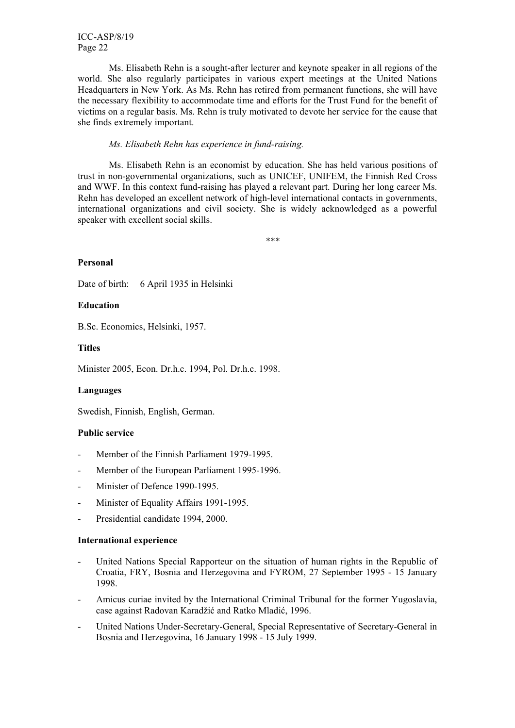Ms. Elisabeth Rehn is a sought-after lecturer and keynote speaker in all regions of the world. She also regularly participates in various expert meetings at the United Nations Headquarters in New York. As Ms. Rehn has retired from permanent functions, she will have the necessary flexibility to accommodate time and efforts for the Trust Fund for the benefit of victims on a regular basis. Ms. Rehn is truly motivated to devote her service for the cause that she finds extremely important.

# *Ms. Elisabeth Rehn has experience in fund-raising.*

Ms. Elisabeth Rehn is an economist by education. She has held various positions of trust in non-governmental organizations, such as UNICEF, UNIFEM, the Finnish Red Cross and WWF. In this context fund-raising has played a relevant part. During her long career Ms. Rehn has developed an excellent network of high-level international contacts in governments, international organizations and civil society. She is widely acknowledged as a powerful speaker with excellent social skills.

\*\*\*

# **Personal**

Date of birth: 6 April 1935 in Helsinki

#### **Education**

B.Sc. Economics, Helsinki, 1957.

#### **Titles**

Minister 2005, Econ. Dr.h.c. 1994, Pol. Dr.h.c. 1998.

#### **Languages**

Swedish, Finnish, English, German.

# **Public service**

- Member of the Finnish Parliament 1979-1995.
- Member of the European Parliament 1995-1996.
- Minister of Defence 1990-1995.
- Minister of Equality Affairs 1991-1995.
- Presidential candidate 1994, 2000.

#### **International experience**

- United Nations Special Rapporteur on the situation of human rights in the Republic of Croatia, FRY, Bosnia and Herzegovina and FYROM, 27 September 1995 - 15 January 1998.
- Amicus curiae invited by the International Criminal Tribunal for the former Yugoslavia, case against Radovan Karadžić and Ratko Mladić, 1996.
- United Nations Under-Secretary-General, Special Representative of Secretary-General in Bosnia and Herzegovina, 16 January 1998 - 15 July 1999.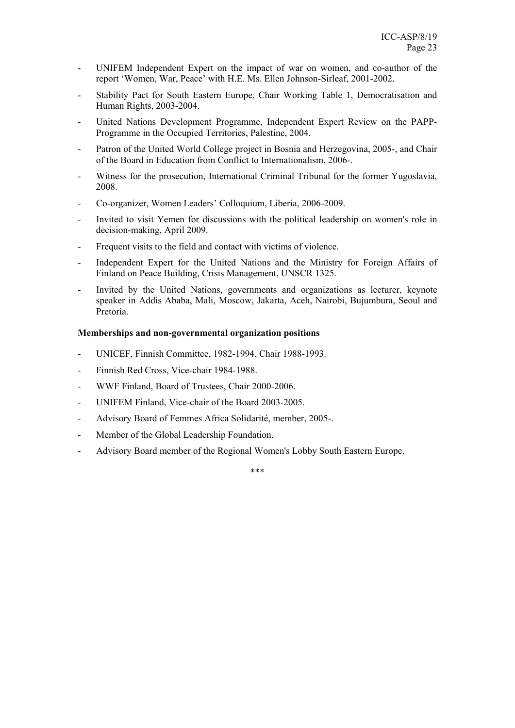- UNIFEM Independent Expert on the impact of war on women, and co-author of the report 'Women, War, Peace' with H.E. Ms. Ellen Johnson-Sirleaf, 2001-2002.
- Stability Pact for South Eastern Europe, Chair Working Table 1, Democratisation and Human Rights, 2003-2004.
- United Nations Development Programme, Independent Expert Review on the PAPP-Programme in the Occupied Territories, Palestine, 2004.
- Patron of the United World College project in Bosnia and Herzegovina, 2005-, and Chair of the Board in Education from Conflict to Internationalism, 2006-.
- Witness for the prosecution, International Criminal Tribunal for the former Yugoslavia, 2008.
- Co-organizer, Women Leaders' Colloquium, Liberia, 2006-2009.
- Invited to visit Yemen for discussions with the political leadership on women's role in decision-making, April 2009.
- Frequent visits to the field and contact with victims of violence.
- Independent Expert for the United Nations and the Ministry for Foreign Affairs of Finland on Peace Building, Crisis Management, UNSCR 1325.
- Invited by the United Nations, governments and organizations as lecturer, keynote speaker in Addis Ababa, Mali, Moscow, Jakarta, Aceh, Nairobi, Bujumbura, Seoul and Pretoria.

#### **Memberships and non-governmental organization positions**

- UNICEF, Finnish Committee, 1982-1994, Chair 1988-1993.
- Finnish Red Cross, Vice-chair 1984-1988.
- WWF Finland, Board of Trustees, Chair 2000-2006.
- UNIFEM Finland, Vice-chair of the Board 2003-2005.
- Advisory Board of Femmes Africa Solidarité, member, 2005-.
- Member of the Global Leadership Foundation.
- Advisory Board member of the Regional Women's Lobby South Eastern Europe.

\*\*\*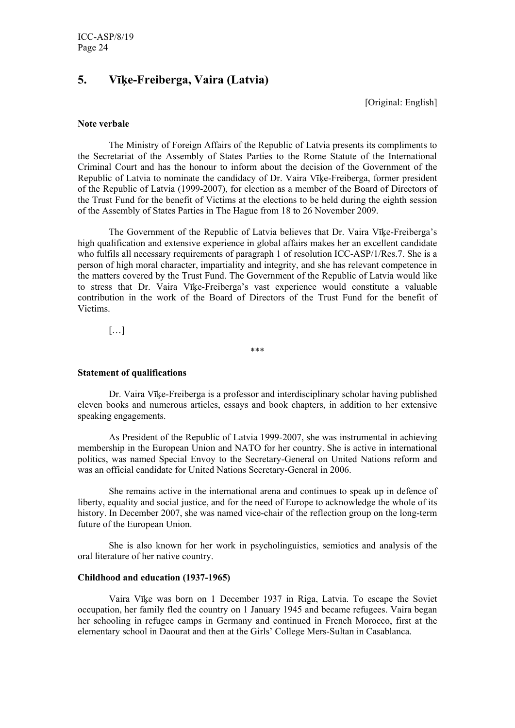# **5. Vīķe-Freiberga, Vaira (Latvia)**

[Original: English]

#### **Note verbale**

 The Ministry of Foreign Affairs of the Republic of Latvia presents its compliments to the Secretariat of the Assembly of States Parties to the Rome Statute of the International Criminal Court and has the honour to inform about the decision of the Government of the Republic of Latvia to nominate the candidacy of Dr. Vaira Vīķe-Freiberga, former president of the Republic of Latvia (1999-2007), for election as a member of the Board of Directors of the Trust Fund for the benefit of Victims at the elections to be held during the eighth session of the Assembly of States Parties in The Hague from 18 to 26 November 2009.

 The Government of the Republic of Latvia believes that Dr. Vaira Vīķe-Freiberga's high qualification and extensive experience in global affairs makes her an excellent candidate who fulfils all necessary requirements of paragraph 1 of resolution ICC-ASP/1/Res.7. She is a person of high moral character, impartiality and integrity, and she has relevant competence in the matters covered by the Trust Fund. The Government of the Republic of Latvia would like to stress that Dr. Vaira Vīķe-Freiberga's vast experience would constitute a valuable contribution in the work of the Board of Directors of the Trust Fund for the benefit of Victims.

[…]

\*\*\*

#### **Statement of qualifications**

Dr. Vaira Vīķe-Freiberga is a professor and interdisciplinary scholar having published eleven books and numerous articles, essays and book chapters, in addition to her extensive speaking engagements.

As President of the Republic of Latvia 1999-2007, she was instrumental in achieving membership in the European Union and NATO for her country. She is active in international politics, was named Special Envoy to the Secretary-General on United Nations reform and was an official candidate for United Nations Secretary-General in 2006.

She remains active in the international arena and continues to speak up in defence of liberty, equality and social justice, and for the need of Europe to acknowledge the whole of its history. In December 2007, she was named vice-chair of the reflection group on the long-term future of the European Union.

She is also known for her work in psycholinguistics, semiotics and analysis of the oral literature of her native country.

#### **Childhood and education (1937-1965)**

Vaira Vīķe was born on 1 December 1937 in Riga, Latvia. To escape the Soviet occupation, her family fled the country on 1 January 1945 and became refugees. Vaira began her schooling in refugee camps in Germany and continued in French Morocco, first at the elementary school in Daourat and then at the Girls' College Mers-Sultan in Casablanca.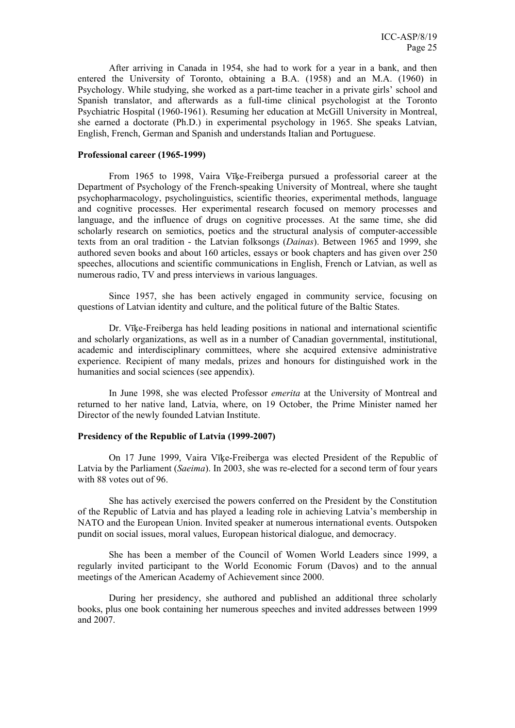After arriving in Canada in 1954, she had to work for a year in a bank, and then entered the University of Toronto, obtaining a B.A. (1958) and an M.A. (1960) in Psychology. While studying, she worked as a part-time teacher in a private girls' school and Spanish translator, and afterwards as a full-time clinical psychologist at the Toronto Psychiatric Hospital (1960-1961). Resuming her education at McGill University in Montreal, she earned a doctorate (Ph.D.) in experimental psychology in 1965. She speaks Latvian, English, French, German and Spanish and understands Italian and Portuguese.

#### **Professional career (1965-1999)**

From 1965 to 1998, Vaira Vīķe-Freiberga pursued a professorial career at the Department of Psychology of the French-speaking University of Montreal, where she taught psychopharmacology, psycholinguistics, scientific theories, experimental methods, language and cognitive processes. Her experimental research focused on memory processes and language, and the influence of drugs on cognitive processes. At the same time, she did scholarly research on semiotics, poetics and the structural analysis of computer-accessible texts from an oral tradition - the Latvian folksongs (*Dainas*). Between 1965 and 1999, she authored seven books and about 160 articles, essays or book chapters and has given over 250 speeches, allocutions and scientific communications in English, French or Latvian, as well as numerous radio, TV and press interviews in various languages.

Since 1957, she has been actively engaged in community service, focusing on questions of Latvian identity and culture, and the political future of the Baltic States.

Dr. Vīķe-Freiberga has held leading positions in national and international scientific and scholarly organizations, as well as in a number of Canadian governmental, institutional, academic and interdisciplinary committees, where she acquired extensive administrative experience. Recipient of many medals, prizes and honours for distinguished work in the humanities and social sciences (see appendix).

In June 1998, she was elected Professor *emerita* at the University of Montreal and returned to her native land, Latvia, where, on 19 October, the Prime Minister named her Director of the newly founded Latvian Institute.

#### **Presidency of the Republic of Latvia (1999-2007)**

On 17 June 1999, Vaira Vīķe-Freiberga was elected President of the Republic of Latvia by the Parliament (*Saeima*). In 2003, she was re-elected for a second term of four years with 88 votes out of 96.

She has actively exercised the powers conferred on the President by the Constitution of the Republic of Latvia and has played a leading role in achieving Latvia's membership in NATO and the European Union. Invited speaker at numerous international events. Outspoken pundit on social issues, moral values, European historical dialogue, and democracy.

She has been a member of the Council of Women World Leaders since 1999, a regularly invited participant to the World Economic Forum (Davos) and to the annual meetings of the American Academy of Achievement since 2000.

During her presidency, she authored and published an additional three scholarly books, plus one book containing her numerous speeches and invited addresses between 1999 and 2007.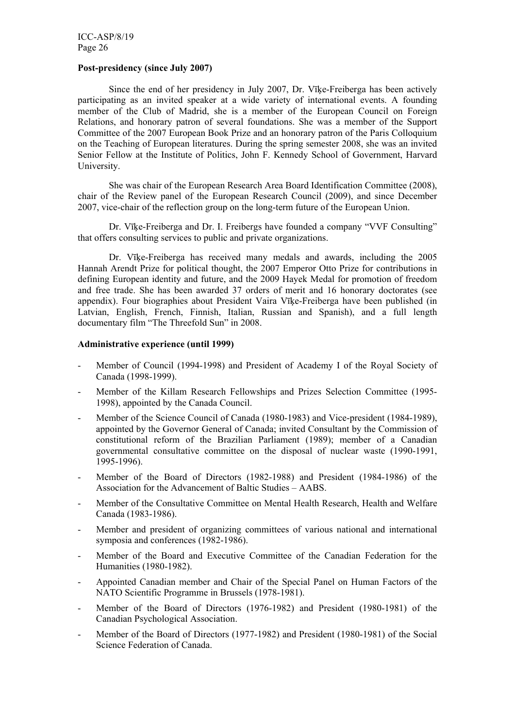#### **Post-presidency (since July 2007)**

Since the end of her presidency in July 2007, Dr. Vīķe-Freiberga has been actively participating as an invited speaker at a wide variety of international events. A founding member of the Club of Madrid, she is a member of the European Council on Foreign Relations, and honorary patron of several foundations. She was a member of the Support Committee of the 2007 European Book Prize and an honorary patron of the Paris Colloquium on the Teaching of European literatures. During the spring semester 2008, she was an invited Senior Fellow at the Institute of Politics, John F. Kennedy School of Government, Harvard University.

She was chair of the European Research Area Board Identification Committee (2008), chair of the Review panel of the European Research Council (2009), and since December 2007, vice-chair of the reflection group on the long-term future of the European Union.

Dr. Vīķe-Freiberga and Dr. I. Freibergs have founded a company "VVF Consulting" that offers consulting services to public and private organizations.

Dr. Vīķe-Freiberga has received many medals and awards, including the 2005 Hannah Arendt Prize for political thought, the 2007 Emperor Otto Prize for contributions in defining European identity and future, and the 2009 Hayek Medal for promotion of freedom and free trade. She has been awarded 37 orders of merit and 16 honorary doctorates (see appendix). Four biographies about President Vaira Vīķe-Freiberga have been published (in Latvian, English, French, Finnish, Italian, Russian and Spanish), and a full length documentary film "The Threefold Sun" in 2008.

#### **Administrative experience (until 1999)**

- Member of Council (1994-1998) and President of Academy I of the Royal Society of Canada (1998-1999).
- Member of the Killam Research Fellowships and Prizes Selection Committee (1995- 1998), appointed by the Canada Council.
- Member of the Science Council of Canada (1980-1983) and Vice-president (1984-1989), appointed by the Governor General of Canada; invited Consultant by the Commission of constitutional reform of the Brazilian Parliament (1989); member of a Canadian governmental consultative committee on the disposal of nuclear waste (1990-1991, 1995-1996).
- Member of the Board of Directors (1982-1988) and President (1984-1986) of the Association for the Advancement of Baltic Studies – AABS.
- Member of the Consultative Committee on Mental Health Research, Health and Welfare Canada (1983-1986).
- Member and president of organizing committees of various national and international symposia and conferences (1982-1986).
- Member of the Board and Executive Committee of the Canadian Federation for the Humanities (1980-1982).
- Appointed Canadian member and Chair of the Special Panel on Human Factors of the NATO Scientific Programme in Brussels (1978-1981).
- Member of the Board of Directors (1976-1982) and President (1980-1981) of the Canadian Psychological Association.
- Member of the Board of Directors (1977-1982) and President (1980-1981) of the Social Science Federation of Canada.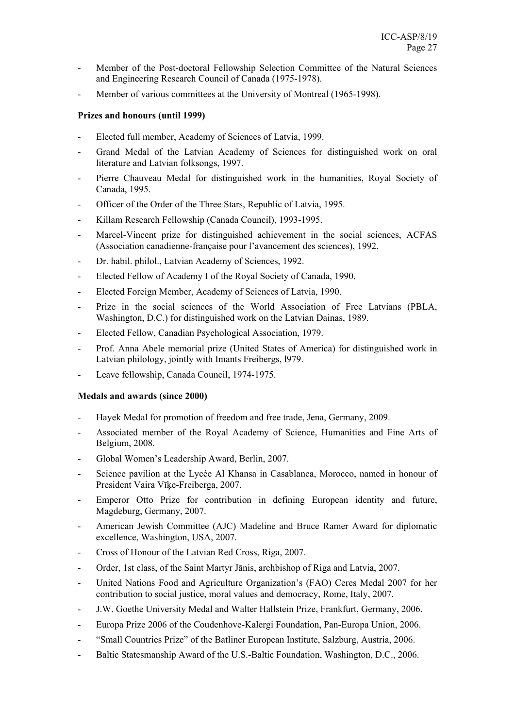- Member of the Post-doctoral Fellowship Selection Committee of the Natural Sciences and Engineering Research Council of Canada (1975-1978).
- Member of various committees at the University of Montreal (1965-1998).

# **Prizes and honours (until 1999)**

- Elected full member, Academy of Sciences of Latvia, 1999.
- Grand Medal of the Latvian Academy of Sciences for distinguished work on oral literature and Latvian folksongs, 1997.
- Pierre Chauveau Medal for distinguished work in the humanities, Royal Society of Canada, 1995.
- Officer of the Order of the Three Stars, Republic of Latvia, 1995.
- Killam Research Fellowship (Canada Council), 1993-1995.
- Marcel-Vincent prize for distinguished achievement in the social sciences, ACFAS (Association canadienne-française pour l'avancement des sciences), 1992.
- Dr. habil. philol., Latvian Academy of Sciences, 1992.
- Elected Fellow of Academy I of the Royal Society of Canada, 1990.
- Elected Foreign Member, Academy of Sciences of Latvia, 1990.
- Prize in the social sciences of the World Association of Free Latvians (PBLA, Washington, D.C.) for distinguished work on the Latvian Dainas, 1989.
- Elected Fellow, Canadian Psychological Association, 1979.
- Prof. Anna Abele memorial prize (United States of America) for distinguished work in Latvian philology, jointly with Imants Freibergs, l979.
- Leave fellowship, Canada Council, 1974-1975.

# **Medals and awards (since 2000)**

- Hayek Medal for promotion of freedom and free trade, Jena, Germany, 2009.
- Associated member of the Royal Academy of Science, Humanities and Fine Arts of Belgium, 2008.
- Global Women's Leadership Award, Berlin, 2007.
- Science pavilion at the Lycée Al Khansa in Casablanca, Morocco, named in honour of President Vaira Vīķe-Freiberga, 2007.
- Emperor Otto Prize for contribution in defining European identity and future, Magdeburg, Germany, 2007.
- American Jewish Committee (AJC) Madeline and Bruce Ramer Award for diplomatic excellence, Washington, USA, 2007.
- Cross of Honour of the Latvian Red Cross, Riga, 2007.
- Order, 1st class, of the Saint Martyr Jānis, archbishop of Riga and Latvia, 2007.
- United Nations Food and Agriculture Organization's (FAO) Ceres Medal 2007 for her contribution to social justice, moral values and democracy, Rome, Italy, 2007.
- J.W. Goethe University Medal and Walter Hallstein Prize, Frankfurt, Germany, 2006.
- Europa Prize 2006 of the Coudenhove-Kalergi Foundation, Pan-Europa Union, 2006.
- "Small Countries Prize" of the Batliner European Institute, Salzburg, Austria, 2006.
- Baltic Statesmanship Award of the U.S.-Baltic Foundation, Washington, D.C., 2006.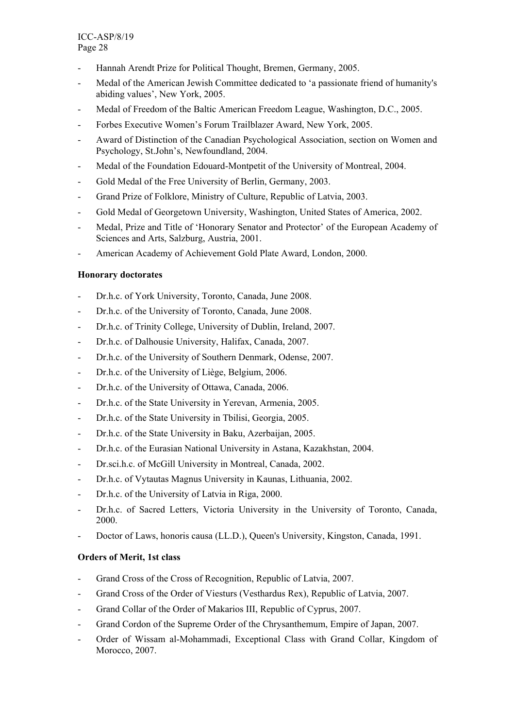- Hannah Arendt Prize for Political Thought, Bremen, Germany, 2005.
- Medal of the American Jewish Committee dedicated to 'a passionate friend of humanity's abiding values', New York, 2005.
- Medal of Freedom of the Baltic American Freedom League, Washington, D.C., 2005.
- Forbes Executive Women's Forum Trailblazer Award, New York, 2005.
- Award of Distinction of the Canadian Psychological Association, section on Women and Psychology, St.John's, Newfoundland, 2004.
- Medal of the Foundation Edouard-Montpetit of the University of Montreal, 2004.
- Gold Medal of the Free University of Berlin, Germany, 2003.
- Grand Prize of Folklore, Ministry of Culture, Republic of Latvia, 2003.
- Gold Medal of Georgetown University, Washington, United States of America, 2002.
- Medal, Prize and Title of 'Honorary Senator and Protector' of the European Academy of Sciences and Arts, Salzburg, Austria, 2001.
- American Academy of Achievement Gold Plate Award, London, 2000.

# **Honorary doctorates**

- Dr.h.c. of York University, Toronto, Canada, June 2008.
- Dr.h.c. of the University of Toronto, Canada, June 2008.
- Dr.h.c. of Trinity College, University of Dublin, Ireland, 2007.
- Dr.h.c. of Dalhousie University, Halifax, Canada, 2007.
- Dr.h.c. of the University of Southern Denmark, Odense, 2007.
- Dr.h.c. of the University of Liège, Belgium, 2006.
- Dr.h.c. of the University of Ottawa, Canada, 2006.
- Dr.h.c. of the State University in Yerevan, Armenia, 2005.
- Dr.h.c. of the State University in Tbilisi, Georgia, 2005.
- Dr.h.c. of the State University in Baku, Azerbaijan, 2005.
- Dr.h.c. of the Eurasian National University in Astana, Kazakhstan, 2004.
- Dr.sci.h.c. of McGill University in Montreal, Canada, 2002.
- Dr.h.c. of Vytautas Magnus University in Kaunas, Lithuania, 2002.
- Dr.h.c. of the University of Latvia in Riga, 2000.
- Dr.h.c. of Sacred Letters, Victoria University in the University of Toronto, Canada, 2000.
- Doctor of Laws, honoris causa (LL.D.), Queen's University, Kingston, Canada, 1991.

# **Orders of Merit, 1st class**

- Grand Cross of the Cross of Recognition, Republic of Latvia, 2007.
- Grand Cross of the Order of Viesturs (Vesthardus Rex), Republic of Latvia, 2007.
- Grand Collar of the Order of Makarios III, Republic of Cyprus, 2007.
- Grand Cordon of the Supreme Order of the Chrysanthemum, Empire of Japan, 2007.
- Order of Wissam al-Mohammadi, Exceptional Class with Grand Collar, Kingdom of Morocco, 2007.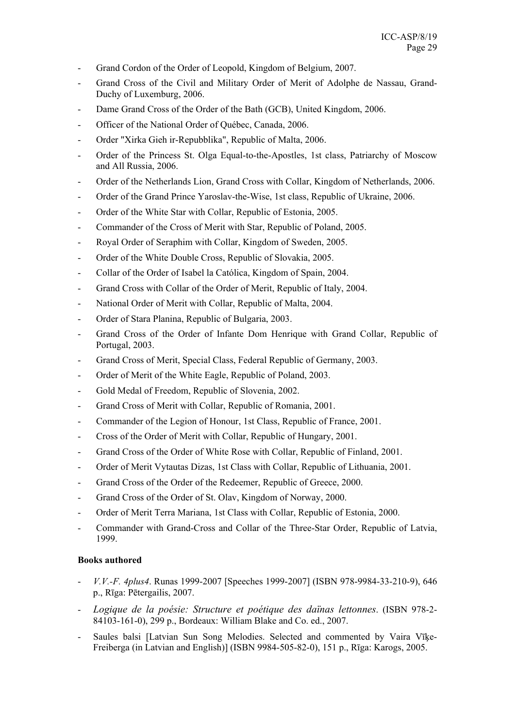- Grand Cordon of the Order of Leopold, Kingdom of Belgium, 2007.
- Grand Cross of the Civil and Military Order of Merit of Adolphe de Nassau, Grand-Duchy of Luxemburg, 2006.
- Dame Grand Cross of the Order of the Bath (GCB), United Kingdom, 2006.
- Officer of the National Order of Québec, Canada, 2006.
- Order "Xirka Gieh ir-Repubblika", Republic of Malta, 2006.
- Order of the Princess St. Olga Equal-to-the-Apostles, 1st class, Patriarchy of Moscow and All Russia, 2006.
- Order of the Netherlands Lion, Grand Cross with Collar, Kingdom of Netherlands, 2006.
- Order of the Grand Prince Yaroslav-the-Wise, 1st class, Republic of Ukraine, 2006.
- Order of the White Star with Collar, Republic of Estonia, 2005.
- Commander of the Cross of Merit with Star, Republic of Poland, 2005.
- Royal Order of Seraphim with Collar, Kingdom of Sweden, 2005.
- Order of the White Double Cross, Republic of Slovakia, 2005.
- Collar of the Order of Isabel la Católica, Kingdom of Spain, 2004.
- Grand Cross with Collar of the Order of Merit, Republic of Italy, 2004.
- National Order of Merit with Collar, Republic of Malta, 2004.
- Order of Stara Planina, Republic of Bulgaria, 2003.
- Grand Cross of the Order of Infante Dom Henrique with Grand Collar, Republic of Portugal, 2003.
- Grand Cross of Merit, Special Class, Federal Republic of Germany, 2003.
- Order of Merit of the White Eagle, Republic of Poland, 2003.
- Gold Medal of Freedom, Republic of Slovenia, 2002.
- Grand Cross of Merit with Collar, Republic of Romania, 2001.
- Commander of the Legion of Honour, 1st Class, Republic of France, 2001.
- Cross of the Order of Merit with Collar, Republic of Hungary, 2001.
- Grand Cross of the Order of White Rose with Collar, Republic of Finland, 2001.
- Order of Merit Vytautas Dizas, 1st Class with Collar, Republic of Lithuania, 2001.
- Grand Cross of the Order of the Redeemer, Republic of Greece, 2000.
- Grand Cross of the Order of St. Olav, Kingdom of Norway, 2000.
- Order of Merit Terra Mariana, 1st Class with Collar, Republic of Estonia, 2000.
- Commander with Grand-Cross and Collar of the Three-Star Order, Republic of Latvia, 1999.

# **Books authored**

- *V.V.-F. 4plus4*. Runas 1999-2007 [Speeches 1999-2007] (ISBN 978-9984-33-210-9), 646 p., Rīga: Pētergailis, 2007.
- *Logique de la poésie: Structure et poétique des daïnas lettonnes*. (ISBN 978-2- 84103-161-0), 299 p., Bordeaux: William Blake and Co. ed., 2007.
- Saules balsi [Latvian Sun Song Melodies. Selected and commented by Vaira Vīķe-Freiberga (in Latvian and English)] (ISBN 9984-505-82-0), 151 p., Rīga: Karogs, 2005.